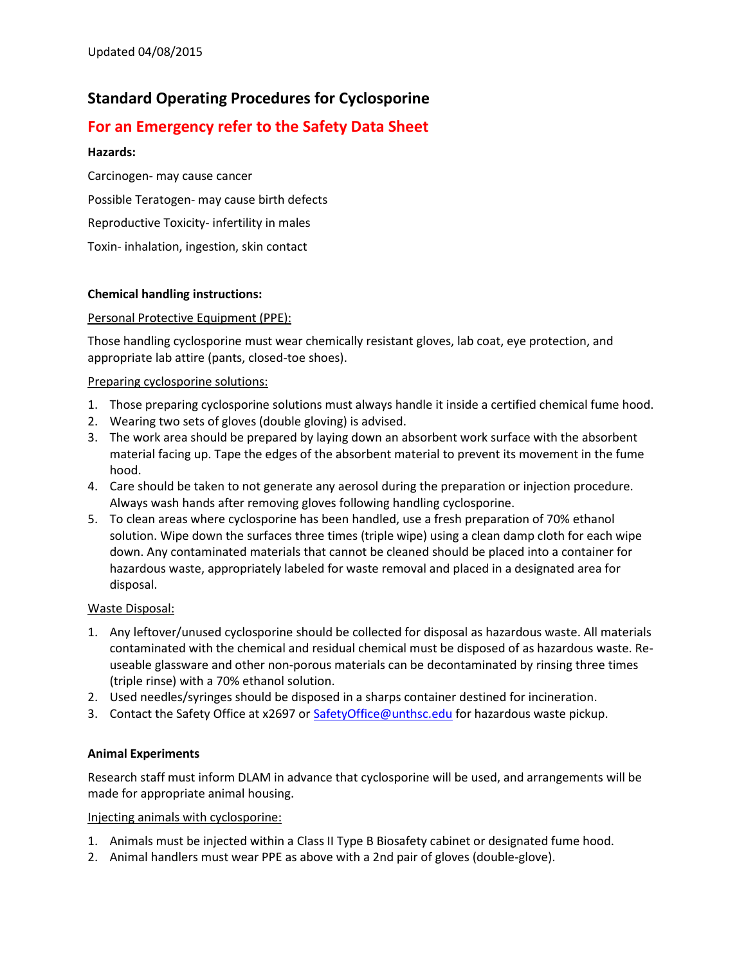# **Standard Operating Procedures for Cyclosporine**

# **For an Emergency refer to the Safety Data Sheet**

# **Hazards:**

Carcinogen- may cause cancer Possible Teratogen- may cause birth defects Reproductive Toxicity- infertility in males Toxin- inhalation, ingestion, skin contact

# **Chemical handling instructions:**

# Personal Protective Equipment (PPE):

Those handling cyclosporine must wear chemically resistant gloves, lab coat, eye protection, and appropriate lab attire (pants, closed-toe shoes).

#### Preparing cyclosporine solutions:

- 1. Those preparing cyclosporine solutions must always handle it inside a certified chemical fume hood.
- 2. Wearing two sets of gloves (double gloving) is advised.
- 3. The work area should be prepared by laying down an absorbent work surface with the absorbent material facing up. Tape the edges of the absorbent material to prevent its movement in the fume hood.
- 4. Care should be taken to not generate any aerosol during the preparation or injection procedure. Always wash hands after removing gloves following handling cyclosporine.
- 5. To clean areas where cyclosporine has been handled, use a fresh preparation of 70% ethanol solution. Wipe down the surfaces three times (triple wipe) using a clean damp cloth for each wipe down. Any contaminated materials that cannot be cleaned should be placed into a container for hazardous waste, appropriately labeled for waste removal and placed in a designated area for disposal.

#### Waste Disposal:

- 1. Any leftover/unused cyclosporine should be collected for disposal as hazardous waste. All materials contaminated with the chemical and residual chemical must be disposed of as hazardous waste. Reuseable glassware and other non-porous materials can be decontaminated by rinsing three times (triple rinse) with a 70% ethanol solution.
- 2. Used needles/syringes should be disposed in a sharps container destined for incineration.
- 3. Contact the Safety Office at x2697 or [SafetyOffice@unthsc.edu](mailto:SafetyOffice@unthsc.edu) for hazardous waste pickup.

#### **Animal Experiments**

Research staff must inform DLAM in advance that cyclosporine will be used, and arrangements will be made for appropriate animal housing.

#### Injecting animals with cyclosporine:

- 1. Animals must be injected within a Class II Type B Biosafety cabinet or designated fume hood.
- 2. Animal handlers must wear PPE as above with a 2nd pair of gloves (double-glove).